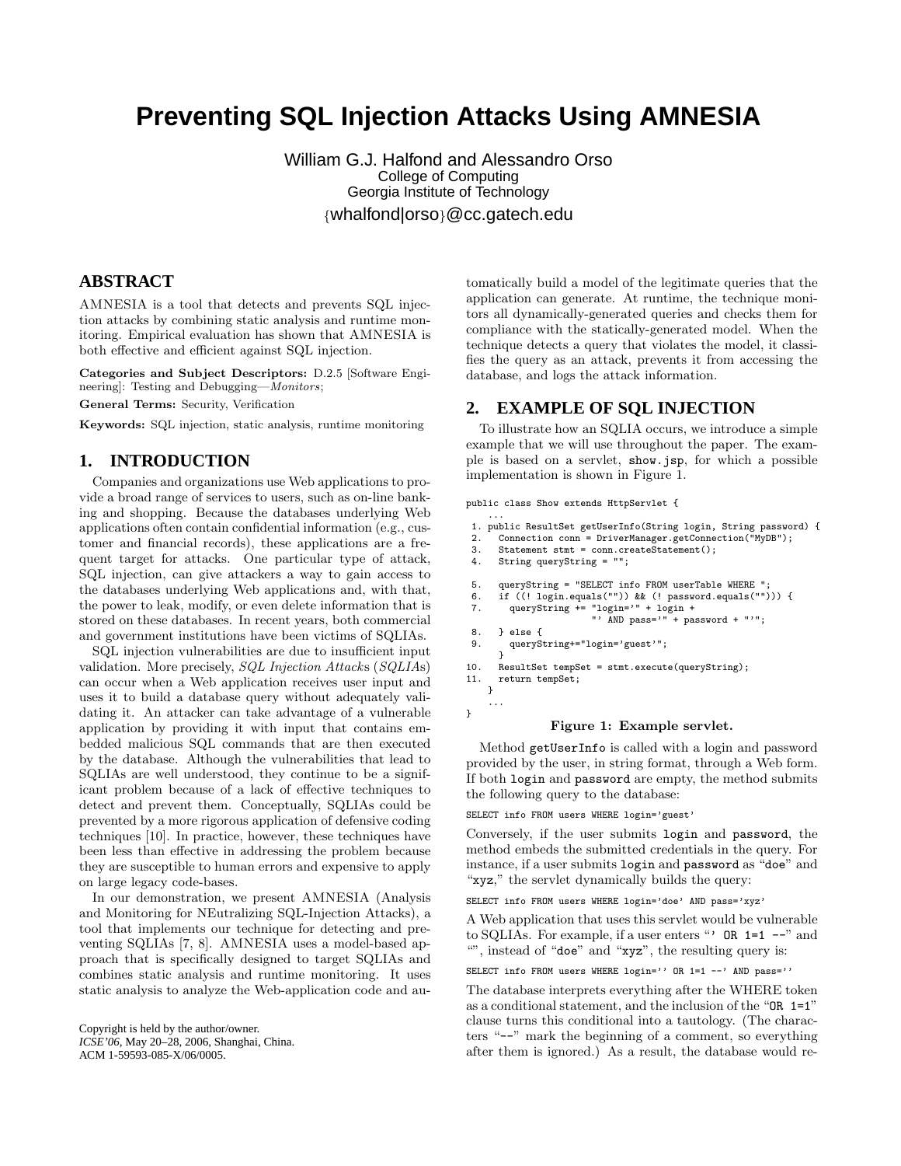# **Preventing SQL Injection Attacks Using AMNESIA**

William G.J. Halfond and Alessandro Orso College of Computing Georgia Institute of Technology {whalfond|orso}@cc.gatech.edu

# **ABSTRACT**

AMNESIA is a tool that detects and prevents SQL injection attacks by combining static analysis and runtime monitoring. Empirical evaluation has shown that AMNESIA is both effective and efficient against SQL injection.

Categories and Subject Descriptors: D.2.5 [Software Engineering]: Testing and Debugging—Monitors;

General Terms: Security, Verification

Keywords: SQL injection, static analysis, runtime monitoring

# **1. INTRODUCTION**

Companies and organizations use Web applications to provide a broad range of services to users, such as on-line banking and shopping. Because the databases underlying Web applications often contain confidential information (e.g., customer and financial records), these applications are a frequent target for attacks. One particular type of attack, SQL injection, can give attackers a way to gain access to the databases underlying Web applications and, with that, the power to leak, modify, or even delete information that is stored on these databases. In recent years, both commercial and government institutions have been victims of SQLIAs.

SQL injection vulnerabilities are due to insufficient input validation. More precisely, SQL Injection Attacks (SQLIAs) can occur when a Web application receives user input and uses it to build a database query without adequately validating it. An attacker can take advantage of a vulnerable application by providing it with input that contains embedded malicious SQL commands that are then executed by the database. Although the vulnerabilities that lead to SQLIAs are well understood, they continue to be a significant problem because of a lack of effective techniques to detect and prevent them. Conceptually, SQLIAs could be prevented by a more rigorous application of defensive coding techniques [10]. In practice, however, these techniques have been less than effective in addressing the problem because they are susceptible to human errors and expensive to apply on large legacy code-bases.

In our demonstration, we present AMNESIA (Analysis and Monitoring for NEutralizing SQL-Injection Attacks), a tool that implements our technique for detecting and preventing SQLIAs [7, 8]. AMNESIA uses a model-based approach that is specifically designed to target SQLIAs and combines static analysis and runtime monitoring. It uses static analysis to analyze the Web-application code and au-

Copyright is held by the author/owner. *ICSE'06,* May 20–28, 2006, Shanghai, China. ACM 1-59593-085-X/06/0005.

tomatically build a model of the legitimate queries that the application can generate. At runtime, the technique monitors all dynamically-generated queries and checks them for compliance with the statically-generated model. When the technique detects a query that violates the model, it classifies the query as an attack, prevents it from accessing the database, and logs the attack information.

# **2. EXAMPLE OF SQL INJECTION**

To illustrate how an SQLIA occurs, we introduce a simple example that we will use throughout the paper. The example is based on a servlet, show.jsp, for which a possible implementation is shown in Figure 1.

public class Show extends HttpServlet {

- 1. public ResultSet getUserInfo(String login, String password) {
- 2. Connection conn = DriverManager.getConnection("MyDB"); 3. Statement stmt = conn.createStatement();
- 
- 4. String queryString = "";
- 5. queryString = "SELECT info FROM userTable WHERE ";
- 6. if ((! login.equals("")) && (! password.equals(""))) { 7. queryString += "login='" + login +
- 
- "' AND pass='" + password + "'"; 8. } else {
- 

...

- 9. queryString+="login='guest'";  $\mathbf{r}$
- 10. ResultSet tempSet = stmt.execute(queryString);
- 11. return tempSet; }

}

...

#### Figure 1: Example servlet.

Method getUserInfo is called with a login and password provided by the user, in string format, through a Web form. If both login and password are empty, the method submits the following query to the database:

SELECT info FROM users WHERE login='guest'

Conversely, if the user submits login and password, the method embeds the submitted credentials in the query. For instance, if a user submits login and password as "doe" and "xyz," the servlet dynamically builds the query:

SELECT info FROM users WHERE login='doe' AND pass='xyz'

A Web application that uses this servlet would be vulnerable to SQLIAs. For example, if a user enters " $'$  OR 1=1 --" and "", instead of "doe" and "xyz", the resulting query is:

SELECT info FROM users WHERE login='' OR 1=1 --' AND pass=''

The database interprets everything after the WHERE token as a conditional statement, and the inclusion of the "OR 1=1" clause turns this conditional into a tautology. (The characters "--" mark the beginning of a comment, so everything after them is ignored.) As a result, the database would re-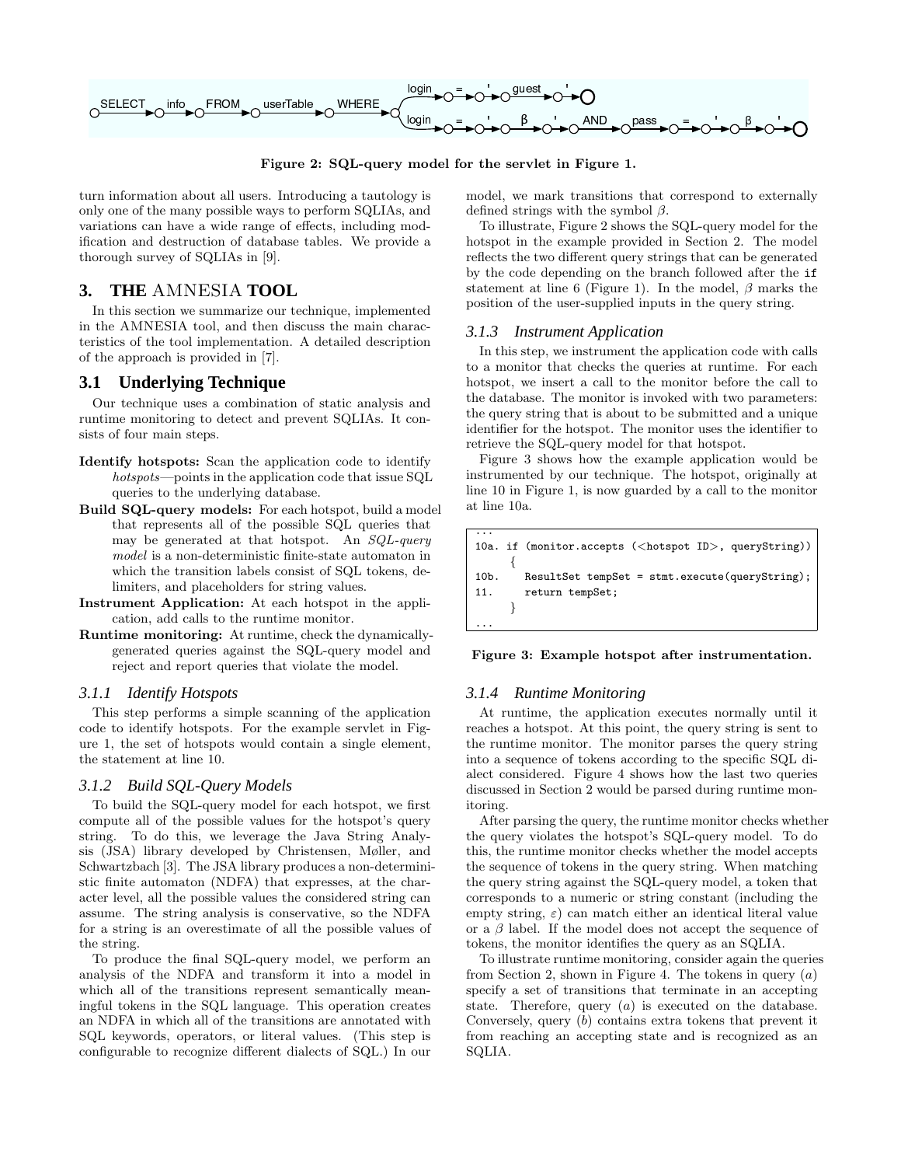

Figure 2: SQL-query model for the servlet in Figure 1.

turn information about all users. Introducing a tautology is only one of the many possible ways to perform SQLIAs, and variations can have a wide range of effects, including modification and destruction of database tables. We provide a thorough survey of SQLIAs in [9].

# **3. THE** AMNESIA **TOOL**

In this section we summarize our technique, implemented in the AMNESIA tool, and then discuss the main characteristics of the tool implementation. A detailed description of the approach is provided in [7].

# **3.1 Underlying Technique**

Our technique uses a combination of static analysis and runtime monitoring to detect and prevent SQLIAs. It consists of four main steps.

- Identify hotspots: Scan the application code to identify hotspots—points in the application code that issue SQL queries to the underlying database.
- Build SQL-query models: For each hotspot, build a model that represents all of the possible SQL queries that may be generated at that hotspot. An SQL-query model is a non-deterministic finite-state automaton in which the transition labels consist of SQL tokens, delimiters, and placeholders for string values.
- Instrument Application: At each hotspot in the application, add calls to the runtime monitor.
- Runtime monitoring: At runtime, check the dynamicallygenerated queries against the SQL-query model and reject and report queries that violate the model.

#### *3.1.1 Identify Hotspots*

This step performs a simple scanning of the application code to identify hotspots. For the example servlet in Figure 1, the set of hotspots would contain a single element, the statement at line 10.

# *3.1.2 Build SQL-Query Models*

To build the SQL-query model for each hotspot, we first compute all of the possible values for the hotspot's query string. To do this, we leverage the Java String Analysis (JSA) library developed by Christensen, Møller, and Schwartzbach [3]. The JSA library produces a non-deterministic finite automaton (NDFA) that expresses, at the character level, all the possible values the considered string can assume. The string analysis is conservative, so the NDFA for a string is an overestimate of all the possible values of the string.

To produce the final SQL-query model, we perform an analysis of the NDFA and transform it into a model in which all of the transitions represent semantically meaningful tokens in the SQL language. This operation creates an NDFA in which all of the transitions are annotated with SQL keywords, operators, or literal values. (This step is configurable to recognize different dialects of SQL.) In our

model, we mark transitions that correspond to externally defined strings with the symbol  $\beta$ .

To illustrate, Figure 2 shows the SQL-query model for the hotspot in the example provided in Section 2. The model reflects the two different query strings that can be generated by the code depending on the branch followed after the if statement at line 6 (Figure 1). In the model,  $\beta$  marks the position of the user-supplied inputs in the query string.

#### *3.1.3 Instrument Application*

In this step, we instrument the application code with calls to a monitor that checks the queries at runtime. For each hotspot, we insert a call to the monitor before the call to the database. The monitor is invoked with two parameters: the query string that is about to be submitted and a unique identifier for the hotspot. The monitor uses the identifier to retrieve the SQL-query model for that hotspot.

Figure 3 shows how the example application would be instrumented by our technique. The hotspot, originally at line 10 in Figure 1, is now guarded by a call to the monitor at line 10a.

| $\cdots$ |                                                  |
|----------|--------------------------------------------------|
|          | 10a. if $(montor. accepts ($ , $queryString)$ )  |
|          |                                                  |
|          |                                                  |
| 10b.     | $ResultSet$ tempSet = stmt.execute(queryString); |
| 11.      | return tempSet;                                  |
|          |                                                  |
|          |                                                  |
|          |                                                  |

#### Figure 3: Example hotspot after instrumentation.

#### *3.1.4 Runtime Monitoring*

At runtime, the application executes normally until it reaches a hotspot. At this point, the query string is sent to the runtime monitor. The monitor parses the query string into a sequence of tokens according to the specific SQL dialect considered. Figure 4 shows how the last two queries discussed in Section 2 would be parsed during runtime monitoring.

After parsing the query, the runtime monitor checks whether the query violates the hotspot's SQL-query model. To do this, the runtime monitor checks whether the model accepts the sequence of tokens in the query string. When matching the query string against the SQL-query model, a token that corresponds to a numeric or string constant (including the empty string,  $\varepsilon$ ) can match either an identical literal value or a  $\beta$  label. If the model does not accept the sequence of tokens, the monitor identifies the query as an SQLIA.

To illustrate runtime monitoring, consider again the queries from Section 2, shown in Figure 4. The tokens in query  $(a)$ specify a set of transitions that terminate in an accepting state. Therefore, query  $(a)$  is executed on the database. Conversely, query (b) contains extra tokens that prevent it from reaching an accepting state and is recognized as an SQLIA.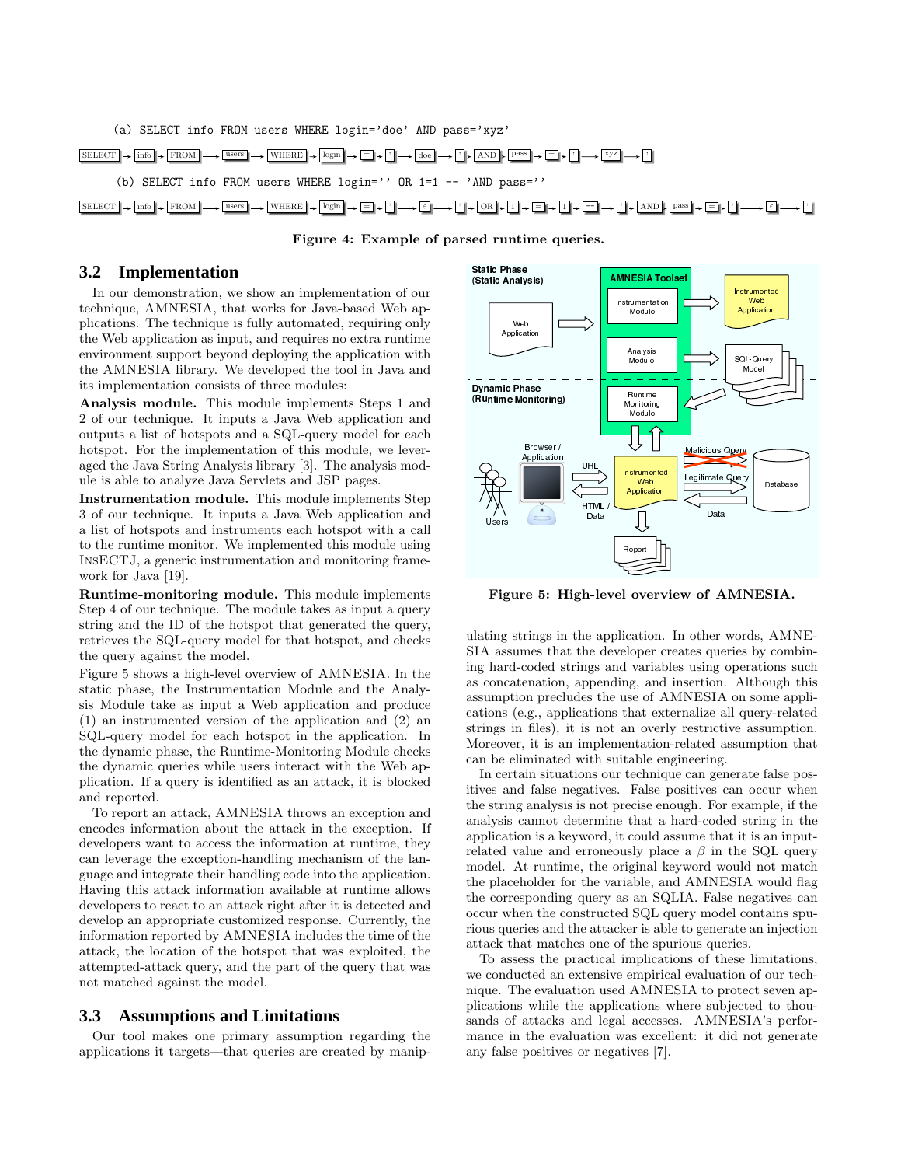

Figure 4: Example of parsed runtime queries.

# **3.2 Implementation**

In our demonstration, we show an implementation of our technique, AMNESIA, that works for Java-based Web applications. The technique is fully automated, requiring only the Web application as input, and requires no extra runtime environment support beyond deploying the application with the AMNESIA library. We developed the tool in Java and its implementation consists of three modules:

Analysis module. This module implements Steps 1 and 2 of our technique. It inputs a Java Web application and outputs a list of hotspots and a SQL-query model for each hotspot. For the implementation of this module, we leveraged the Java String Analysis library [3]. The analysis module is able to analyze Java Servlets and JSP pages.

Instrumentation module. This module implements Step 3 of our technique. It inputs a Java Web application and a list of hotspots and instruments each hotspot with a call to the runtime monitor. We implemented this module using InsECTJ, a generic instrumentation and monitoring framework for Java [19].

Runtime-monitoring module. This module implements Step 4 of our technique. The module takes as input a query string and the ID of the hotspot that generated the query, retrieves the SQL-query model for that hotspot, and checks the query against the model.

Figure 5 shows a high-level overview of AMNESIA. In the static phase, the Instrumentation Module and the Analysis Module take as input a Web application and produce (1) an instrumented version of the application and (2) an SQL-query model for each hotspot in the application. In the dynamic phase, the Runtime-Monitoring Module checks the dynamic queries while users interact with the Web application. If a query is identified as an attack, it is blocked and reported.

To report an attack, AMNESIA throws an exception and encodes information about the attack in the exception. If developers want to access the information at runtime, they can leverage the exception-handling mechanism of the language and integrate their handling code into the application. Having this attack information available at runtime allows developers to react to an attack right after it is detected and develop an appropriate customized response. Currently, the information reported by AMNESIA includes the time of the attack, the location of the hotspot that was exploited, the attempted-attack query, and the part of the query that was not matched against the model.

## **3.3 Assumptions and Limitations**

Our tool makes one primary assumption regarding the applications it targets—that queries are created by manip-



Figure 5: High-level overview of AMNESIA.

ulating strings in the application. In other words, AMNE-SIA assumes that the developer creates queries by combining hard-coded strings and variables using operations such as concatenation, appending, and insertion. Although this assumption precludes the use of AMNESIA on some applications (e.g., applications that externalize all query-related strings in files), it is not an overly restrictive assumption. Moreover, it is an implementation-related assumption that can be eliminated with suitable engineering.

In certain situations our technique can generate false positives and false negatives. False positives can occur when the string analysis is not precise enough. For example, if the analysis cannot determine that a hard-coded string in the application is a keyword, it could assume that it is an inputrelated value and erroneously place a  $\beta$  in the SQL query model. At runtime, the original keyword would not match the placeholder for the variable, and AMNESIA would flag the corresponding query as an SQLIA. False negatives can occur when the constructed SQL query model contains spurious queries and the attacker is able to generate an injection attack that matches one of the spurious queries.

To assess the practical implications of these limitations, we conducted an extensive empirical evaluation of our technique. The evaluation used AMNESIA to protect seven applications while the applications where subjected to thousands of attacks and legal accesses. AMNESIA's performance in the evaluation was excellent: it did not generate any false positives or negatives [7].